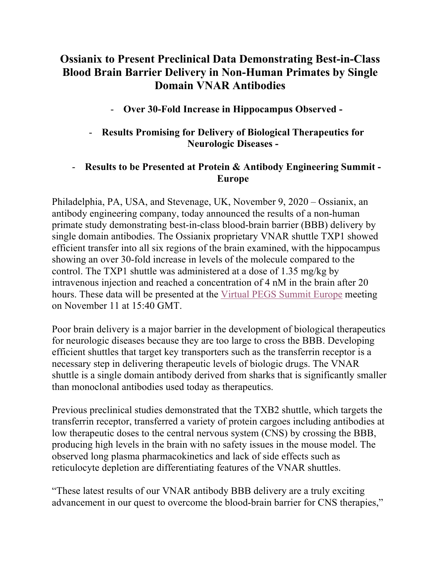# **Ossianix to Present Preclinical Data Demonstrating Best-in-Class Blood Brain Barrier Delivery in Non-Human Primates by Single Domain VNAR Antibodies**

# - **Over 30-Fold Increase in Hippocampus Observed -**

# - **Results Promising for Delivery of Biological Therapeutics for Neurologic Diseases -**

# - **Results to be Presented at Protein & Antibody Engineering Summit - Europe**

Philadelphia, PA, USA, and Stevenage, UK, November 9, 2020 – Ossianix, an antibody engineering company, today announced the results of a non-human primate study demonstrating best-in-class blood-brain barrier (BBB) delivery by single domain antibodies. The Ossianix proprietary VNAR shuttle TXP1 showed efficient transfer into all six regions of the brain examined, with the hippocampus showing an over 30-fold increase in levels of the molecule compared to the control. The TXP1 shuttle was administered at a dose of 1.35 mg/kg by intravenous injection and reached a concentration of 4 nM in the brain after 20 hours. These data will be presented at the Virtual PEGS Summit Europe meeting on November 11 at 15:40 GMT.

Poor brain delivery is a major barrier in the development of biological therapeutics for neurologic diseases because they are too large to cross the BBB. Developing efficient shuttles that target key transporters such as the transferrin receptor is a necessary step in delivering therapeutic levels of biologic drugs. The VNAR shuttle is a single domain antibody derived from sharks that is significantly smaller than monoclonal antibodies used today as therapeutics.

Previous preclinical studies demonstrated that the TXB2 shuttle, which targets the transferrin receptor, transferred a variety of protein cargoes including antibodies at low therapeutic doses to the central nervous system (CNS) by crossing the BBB, producing high levels in the brain with no safety issues in the mouse model. The observed long plasma pharmacokinetics and lack of side effects such as reticulocyte depletion are differentiating features of the VNAR shuttles.

"These latest results of our VNAR antibody BBB delivery are a truly exciting advancement in our quest to overcome the blood-brain barrier for CNS therapies,"